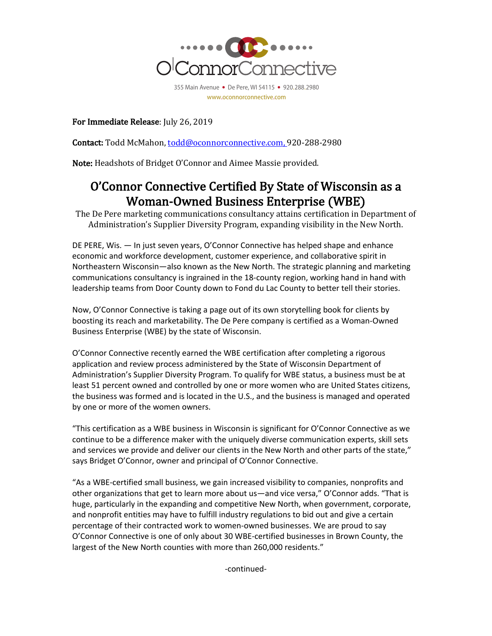

For Immediate Release: July 26, 2019

Contact: Todd McMahon, todd@oconnorconnective.com, 920-288-2980

Note: Headshots of Bridget O'Connor and Aimee Massie provided.

## O'Connor Connective Certified By State of Wisconsin as a Woman-Owned Business Enterprise (WBE)

The De Pere marketing communications consultancy attains certification in Department of Administration's Supplier Diversity Program, expanding visibility in the New North.

DE PERE, Wis. — In just seven years, O'Connor Connective has helped shape and enhance economic and workforce development, customer experience, and collaborative spirit in Northeastern Wisconsin—also known as the New North. The strategic planning and marketing communications consultancy is ingrained in the 18-county region, working hand in hand with leadership teams from Door County down to Fond du Lac County to better tell their stories.

Now, O'Connor Connective is taking a page out of its own storytelling book for clients by boosting its reach and marketability. The De Pere company is certified as a Woman-Owned Business Enterprise (WBE) by the state of Wisconsin.

O'Connor Connective recently earned the WBE certification after completing a rigorous application and review process administered by the State of Wisconsin Department of Administration's Supplier Diversity Program. To qualify for WBE status, a business must be at least 51 percent owned and controlled by one or more women who are United States citizens, the business was formed and is located in the U.S., and the business is managed and operated by one or more of the women owners.

"This certification as a WBE business in Wisconsin is significant for O'Connor Connective as we continue to be a difference maker with the uniquely diverse communication experts, skill sets and services we provide and deliver our clients in the New North and other parts of the state," says Bridget O'Connor, owner and principal of O'Connor Connective.

"As a WBE-certified small business, we gain increased visibility to companies, nonprofits and other organizations that get to learn more about us—and vice versa," O'Connor adds. "That is huge, particularly in the expanding and competitive New North, when government, corporate, and nonprofit entities may have to fulfill industry regulations to bid out and give a certain percentage of their contracted work to women-owned businesses. We are proud to say O'Connor Connective is one of only about 30 WBE-certified businesses in Brown County, the largest of the New North counties with more than 260,000 residents."

-continued-